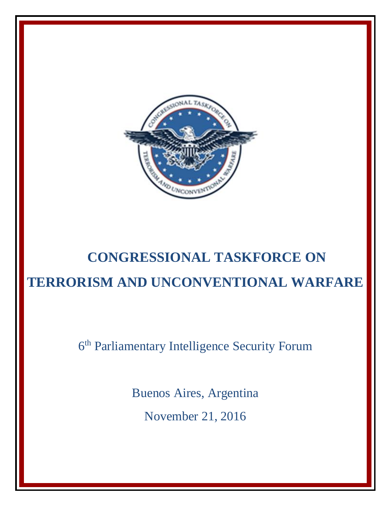

# **CONGRESSIONAL TASKFORCE ON TERRORISM AND UNCONVENTIONAL WARFARE**

6<sup>th</sup> Parliamentary Intelligence Security Forum

Buenos Aires, Argentina

November 21, 2016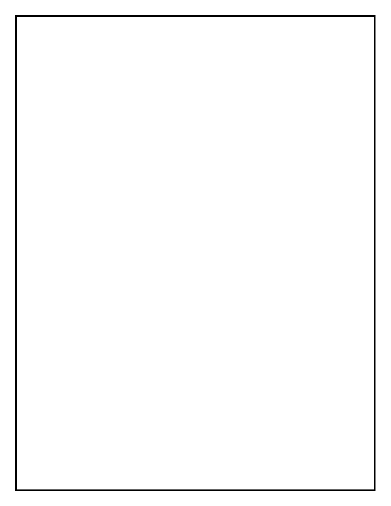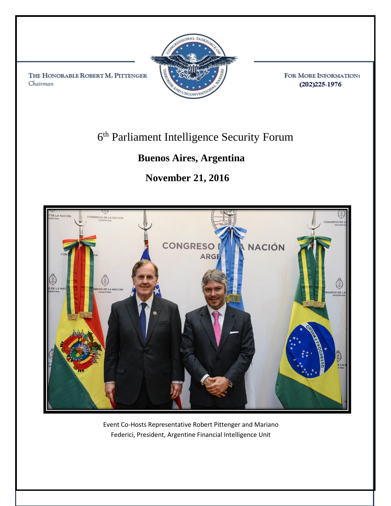

Event Co-Hosts Representative Robert Pittenger and Mariano Federici, President, Argentine Financial Intelligence Unit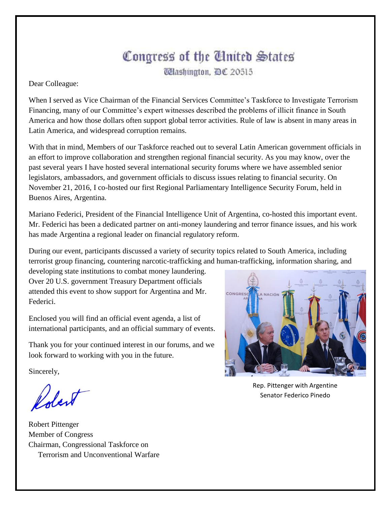# Congress of the United States **Clashington, DC 20515**

#### Dear Colleague:

When I served as Vice Chairman of the Financial Services Committee's Taskforce to Investigate Terrorism Financing, many of our Committee's expert witnesses described the problems of illicit finance in South America and how those dollars often support global terror activities. Rule of law is absent in many areas in Latin America, and widespread corruption remains.

With that in mind, Members of our Taskforce reached out to several Latin American government officials in an effort to improve collaboration and strengthen regional financial security. As you may know, over the past several years I have hosted several international security forums where we have assembled senior legislators, ambassadors, and government officials to discuss issues relating to financial security. On November 21, 2016, I co-hosted our first Regional Parliamentary Intelligence Security Forum, held in Buenos Aires, Argentina.

Mariano Federici, President of the Financial Intelligence Unit of Argentina, co-hosted this important event. Mr. Federici has been a dedicated partner on anti-money laundering and terror finance issues, and his work has made Argentina a regional leader on financial regulatory reform.

During our event, participants discussed a variety of security topics related to South America, including terrorist group financing, countering narcotic-trafficking and human-trafficking, information sharing, and

developing state institutions to combat money laundering. Over 20 U.S. government Treasury Department officials attended this event to show support for Argentina and Mr. Federici.

Enclosed you will find an official event agenda, a list of international participants, and an official summary of events.

Thank you for your continued interest in our forums, and we look forward to working with you in the future.

Sincerely,

Robert Pittenger Member of Congress Chairman, Congressional Taskforce on Terrorism and Unconventional Warfare



Rep. Pittenger with Argentine Senator Federico Pinedo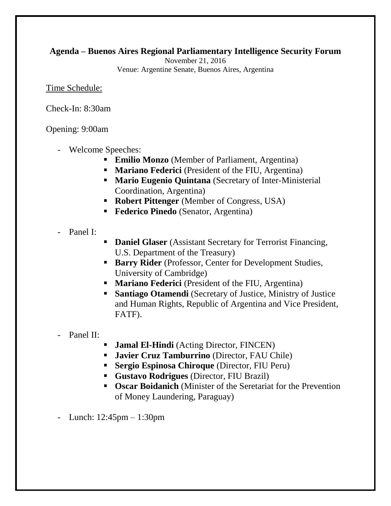### **Agenda – Buenos Aires Regional Parliamentary Intelligence Security Forum**

November 21, 2016

Venue: Argentine Senate, Buenos Aires, Argentina

Time Schedule:

Check-In: 8:30am

Opening: 9:00am

- Welcome Speeches:
	- **Emilio Monzo** (Member of Parliament, Argentina)
	- **Mariano Federici** (President of the FIU, Argentina)
	- **Mario Eugenio Quintana** (Secretary of Inter-Ministerial Coordination, Argentina)
	- **Robert Pittenger** (Member of Congress, USA)
	- **Federico Pinedo** (Senator, Argentina)
- Panel I:
- **Daniel Glaser** (Assistant Secretary for Terrorist Financing, U.S. Department of the Treasury)
- **Barry Rider** (Professor, Center for Development Studies, University of Cambridge)
- **Mariano Federici** (President of the FIU, Argentina)
- **Santiago Otamendi** (Secretary of Justice, Ministry of Justice and Human Rights, Republic of Argentina and Vice President, FATF).

- Panel II:

- **Jamal El-Hindi** (Acting Director, FINCEN)
- **Javier Cruz Tamburrino** (Director, FAU Chile)
- **Sergio Espinosa Chiroque** *(Director, FIU Peru)*
- **Gustavo Rodrigues** (Director, FIU Brazil)
- **Oscar Boidanich** (Minister of the Seretariat for the Prevention of Money Laundering, Paraguay)

- Lunch: 12:45pm – 1:30pm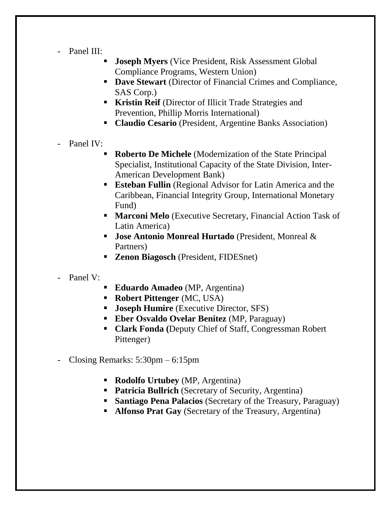- Panel III:

- **Joseph Myers** (Vice President, Risk Assessment Global Compliance Programs, Western Union)
- **Dave Stewart** (Director of Financial Crimes and Compliance, SAS Corp.)
- **Kristin Reif** (Director of Illicit Trade Strategies and Prevention, Phillip Morris International)
- **Claudio Cesario** (President, Argentine Banks Association)
- Panel IV:
	- **Roberto De Michele** (Modernization of the State Principal Specialist, Institutional Capacity of the State Division, Inter-American Development Bank)
	- **Esteban Fullin** (Regional Advisor for Latin America and the Caribbean, Financial Integrity Group, International Monetary Fund)
	- **Marconi Melo** (Executive Secretary, Financial Action Task of Latin America)
	- **Jose Antonio Monreal Hurtado** (President, Monreal & Partners)
	- **Example 2 Zenon Biagosch** (President, FIDESnet)
- Panel V:
	- **Eduardo Amadeo** (MP, Argentina)
	- **Robert Pittenger** (MC, USA)
	- **Joseph Humire** (Executive Director, SFS)
	- **Eber Osvaldo Ovelar Benitez** (MP, Paraguay)
	- **Clark Fonda (**Deputy Chief of Staff, Congressman Robert Pittenger)
- Closing Remarks:  $5:30 \text{pm} 6:15 \text{pm}$ 
	- **Rodolfo Urtubey** (MP, Argentina)
	- **Patricia Bullrich** (Secretary of Security, Argentina)
	- **Santiago Pena Palacios** (Secretary of the Treasury, Paraguay)
	- **Alfonso Prat Gay** (Secretary of the Treasury, Argentina)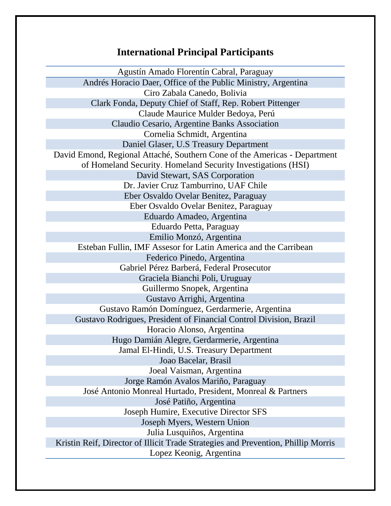## **International Principal Participants**

Agustín Amado Florentín Cabral, Paraguay Andrés Horacio Daer, Office of the Public Ministry, Argentina Ciro Zabala Canedo, Bolivia Clark Fonda, Deputy Chief of Staff, Rep. Robert Pittenger Claude Maurice Mulder Bedoya, Perú Claudio Cesario, Argentine Banks Association Cornelia Schmidt, Argentina Daniel Glaser, U.S Treasury Department David Emond, Regional Attaché, Southern Cone of the Americas - Department of Homeland Security. Homeland Security Investigations (HSI) David Stewart, SAS Corporation Dr. Javier Cruz Tamburrino, UAF Chile Eber Osvaldo Ovelar Benitez, Paraguay Eber Osvaldo Ovelar Benitez, Paraguay Eduardo Amadeo, Argentina Eduardo Petta, Paraguay Emilio Monzó, Argentina Esteban Fullin, IMF Assesor for Latin America and the Carribean Federico Pinedo, Argentina Gabriel Pérez Barberá, Federal Prosecutor Graciela Bianchi Poli, Uruguay Guillermo Snopek, Argentina Gustavo Arrighi, Argentina Gustavo Ramón Domínguez, Gerdarmerie, Argentina Gustavo Rodrigues, President of Financial Control Division, Brazil Horacio Alonso, Argentina Hugo Damián Alegre, Gerdarmerie, Argentina Jamal El-Hindi, U.S. Treasury Department Joao Bacelar, Brasil Joeal Vaisman, Argentina Jorge Ramón Avalos Mariño, Paraguay José Antonio Monreal Hurtado, President, Monreal & Partners José Patiño, Argentina Joseph Humire, Executive Director SFS Joseph Myers, Western Union Julia Lusquiños, Argentina Kristin Reif, Director of Illicit Trade Strategies and Prevention, Phillip Morris Lopez Keonig, Argentina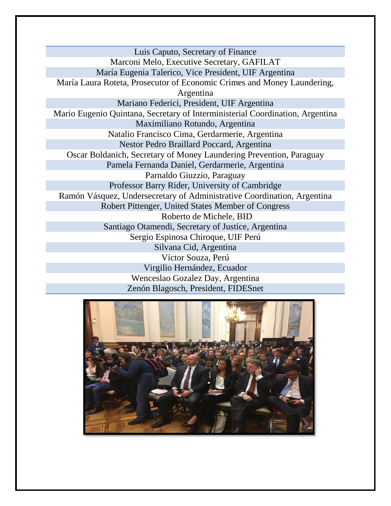Luis Caputo, Secretary of Finance Marconi Melo, Executive Secretary, GAFILAT María Eugenia Talerico, Vice President, UIF Argentina María Laura Roteta, Prosecutor of Economic Crimes and Money Laundering, Argentina Mariano Federici, President, UIF Argentina Mario Eugenio Quintana, Secretary of Interministerial Coordination, Argentina Maximiliano Rotundo, Argentina Natalio Francisco Cima, Gerdarmerie, Argentina Nestor Pedro Braillard Poccard, Argentina Oscar Boldanich, Secretary of Money Laundering Prevention, Paraguay Pamela Fernanda Daniel, Gerdarmerie, Argentina Parnaldo Giuzzio, Paraguay Professor Barry Rider, University of Cambridge Ramón Vásquez, Undersecretary of Administrative Coordination, Argentina Robert Pittenger, United States Member of Congress Roberto de Michele, BID Santiago Otamendi, Secretary of Justice, Argentina Sergio Espinosa Chiroque, UIF Perú Silvana Cid, Argentina Víctor Souza, Perú Virgilio Hernández, Ecuador Wenceslao Gozalez Day, Argentina Zenón Blagosch, President, FIDESnet

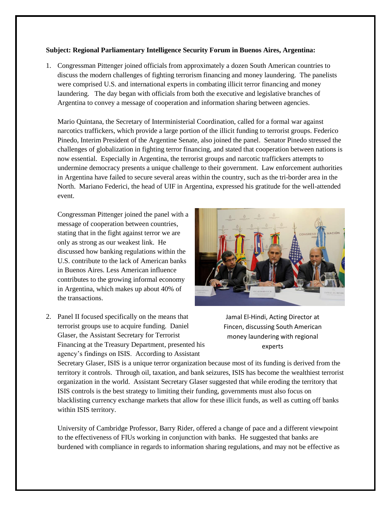#### **Subject: Regional Parliamentary Intelligence Security Forum in Buenos Aires, Argentina:**

1. Congressman Pittenger joined officials from approximately a dozen South American countries to discuss the modern challenges of fighting terrorism financing and money laundering. The panelists were comprised U.S. and international experts in combating illicit terror financing and money laundering. The day began with officials from both the executive and legislative branches of Argentina to convey a message of cooperation and information sharing between agencies.

Mario Quintana, the Secretary of Interministerial Coordination, called for a formal war against narcotics traffickers, which provide a large portion of the illicit funding to terrorist groups. Federico Pinedo, Interim President of the Argentine Senate, also joined the panel. Senator Pinedo stressed the challenges of globalization in fighting terror financing, and stated that cooperation between nations is now essential. Especially in Argentina, the terrorist groups and narcotic traffickers attempts to undermine democracy presents a unique challenge to their government. Law enforcement authorities in Argentina have failed to secure several areas within the country, such as the tri-border area in the North. Mariano Federici, the head of UIF in Argentina, expressed his gratitude for the well-attended event.

Congressman Pittenger joined the panel with a message of cooperation between countries, stating that in the fight against terror we are only as strong as our weakest link. He discussed how banking regulations within the U.S. contribute to the lack of American banks in Buenos Aires. Less American influence contributes to the growing informal economy in Argentina, which makes up about 40% of the transactions.

2. Panel II focused specifically on the means that terrorist groups use to acquire funding. Daniel Glaser, the Assistant Secretary for Terrorist Financing at the Treasury Department, presented his agency's findings on ISIS. According to Assistant



Jamal El-Hindi, Acting Director at Fincen, discussing South American money laundering with regional experts

Secretary Glaser, ISIS is a unique terror organization because most of its funding is derived from the territory it controls. Through oil, taxation, and bank seizures, ISIS has become the wealthiest terrorist organization in the world. Assistant Secretary Glaser suggested that while eroding the territory that ISIS controls is the best strategy to limiting their funding, governments must also focus on blacklisting currency exchange markets that allow for these illicit funds, as well as cutting off banks within ISIS territory.

University of Cambridge Professor, Barry Rider, offered a change of pace and a different viewpoint to the effectiveness of FIUs working in conjunction with banks. He suggested that banks are burdened with compliance in regards to information sharing regulations, and may not be effective as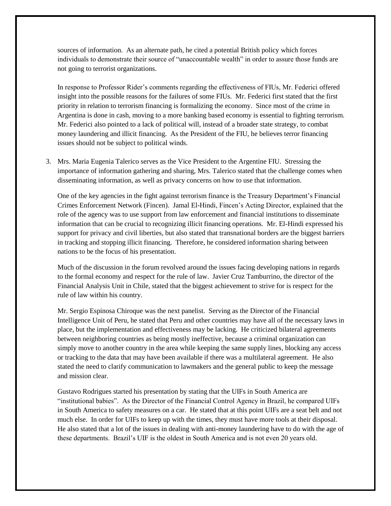sources of information. As an alternate path, he cited a potential British policy which forces individuals to demonstrate their source of "unaccountable wealth" in order to assure those funds are not going to terrorist organizations.

In response to Professor Rider's comments regarding the effectiveness of FIUs, Mr. Federici offered insight into the possible reasons for the failures of some FIUs. Mr. Federici first stated that the first priority in relation to terrorism financing is formalizing the economy. Since most of the crime in Argentina is done in cash, moving to a more banking based economy is essential to fighting terrorism. Mr. Federici also pointed to a lack of political will, instead of a broader state strategy, to combat money laundering and illicit financing. As the President of the FIU, he believes terror financing issues should not be subject to political winds.

3. Mrs. Maria Eugenia Talerico serves as the Vice President to the Argentine FIU. Stressing the importance of information gathering and sharing, Mrs. Talerico stated that the challenge comes when disseminating information, as well as privacy concerns on how to use that information.

One of the key agencies in the fight against terrorism finance is the Treasury Department's Financial Crimes Enforcement Network (Fincen). Jamal El-Hindi, Fincen's Acting Director, explained that the role of the agency was to use support from law enforcement and financial institutions to disseminate information that can be crucial to recognizing illicit financing operations. Mr. El-Hindi expressed his support for privacy and civil liberties, but also stated that transnational borders are the biggest barriers in tracking and stopping illicit financing. Therefore, he considered information sharing between nations to be the focus of his presentation.

Much of the discussion in the forum revolved around the issues facing developing nations in regards to the formal economy and respect for the rule of law. Javier Cruz Tamburrino, the director of the Financial Analysis Unit in Chile, stated that the biggest achievement to strive for is respect for the rule of law within his country.

Mr. Sergio Espinosa Chiroque was the next panelist. Serving as the Director of the Financial Intelligence Unit of Peru, he stated that Peru and other countries may have all of the necessary laws in place, but the implementation and effectiveness may be lacking. He criticized bilateral agreements between neighboring countries as being mostly ineffective, because a criminal organization can simply move to another country in the area while keeping the same supply lines, blocking any access or tracking to the data that may have been available if there was a multilateral agreement. He also stated the need to clarify communication to lawmakers and the general public to keep the message and mission clear.

Gustavo Rodrigues started his presentation by stating that the UIFs in South America are "institutional babies". As the Director of the Financial Control Agency in Brazil, he compared UIFs in South America to safety measures on a car. He stated that at this point UIFs are a seat belt and not much else. In order for UIFs to keep up with the times, they must have more tools at their disposal. He also stated that a lot of the issues in dealing with anti-money laundering have to do with the age of these departments. Brazil's UIF is the oldest in South America and is not even 20 years old.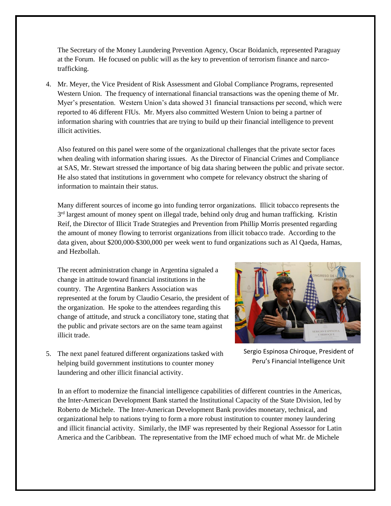The Secretary of the Money Laundering Prevention Agency, Oscar Boidanich, represented Paraguay at the Forum. He focused on public will as the key to prevention of terrorism finance and narcotrafficking.

4. Mr. Meyer, the Vice President of Risk Assessment and Global Compliance Programs, represented Western Union. The frequency of international financial transactions was the opening theme of Mr. Myer's presentation. Western Union's data showed 31 financial transactions per second, which were reported to 46 different FIUs. Mr. Myers also committed Western Union to being a partner of information sharing with countries that are trying to build up their financial intelligence to prevent illicit activities.

Also featured on this panel were some of the organizational challenges that the private sector faces when dealing with information sharing issues. As the Director of Financial Crimes and Compliance at SAS, Mr. Stewart stressed the importance of big data sharing between the public and private sector. He also stated that institutions in government who compete for relevancy obstruct the sharing of information to maintain their status.

Many different sources of income go into funding terror organizations. Illicit tobacco represents the 3<sup>rd</sup> largest amount of money spent on illegal trade, behind only drug and human trafficking. Kristin Reif, the Director of Illicit Trade Strategies and Prevention from Phillip Morris presented regarding the amount of money flowing to terrorist organizations from illicit tobacco trade. According to the data given, about \$200,000-\$300,000 per week went to fund organizations such as Al Qaeda, Hamas, and Hezbollah.

The recent administration change in Argentina signaled a change in attitude toward financial institutions in the country. The Argentina Bankers Association was represented at the forum by Claudio Cesario, the president of the organization. He spoke to the attendees regarding this change of attitude, and struck a conciliatory tone, stating that the public and private sectors are on the same team against illicit trade.

5. The next panel featured different organizations tasked with helping build government institutions to counter money laundering and other illicit financial activity.



Sergio Espinosa Chiroque, President of Peru's Financial Intelligence Unit

In an effort to modernize the financial intelligence capabilities of different countries in the Americas, the Inter-American Development Bank started the Institutional Capacity of the State Division, led by Roberto de Michele. The Inter-American Development Bank provides monetary, technical, and organizational help to nations trying to form a more robust institution to counter money laundering and illicit financial activity. Similarly, the IMF was represented by their Regional Assessor for Latin America and the Caribbean. The representative from the IMF echoed much of what Mr. de Michele